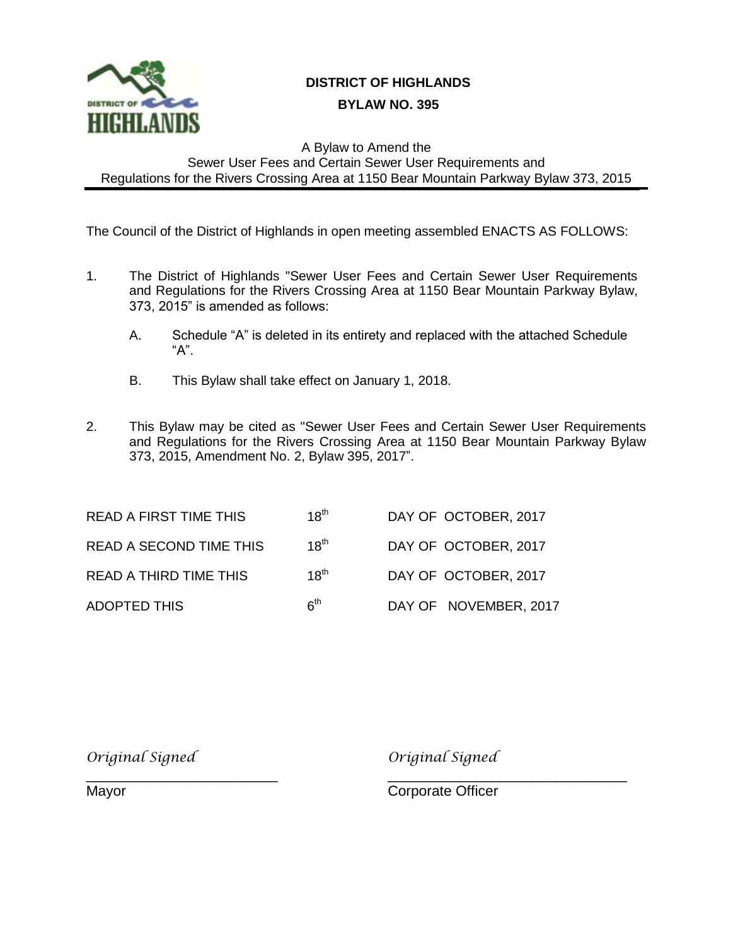

## **I DISTRICT OF HIGHLANDS**

## **II BYLAW NO. 395**

## A Bylaw to Amend the Sewer User Fees and Certain Sewer User Requirements and Regulations for the Rivers Crossing Area at 1150 Bear Mountain Parkway Bylaw 373, 2015

The Council of the District of Highlands in open meeting assembled ENACTS AS FOLLOWS:

- 1. The District of Highlands "Sewer User Fees and Certain Sewer User Requirements and Regulations for the Rivers Crossing Area at 1150 Bear Mountain Parkway Bylaw, 373, 2015" is amended as follows:
	- A. Schedule "A" is deleted in its entirety and replaced with the attached Schedule "A".
	- B. This Bylaw shall take effect on January 1, 2018.
- 2. This Bylaw may be cited as "Sewer User Fees and Certain Sewer User Requirements and Regulations for the Rivers Crossing Area at 1150 Bear Mountain Parkway Bylaw 373, 2015, Amendment No. 2, Bylaw 395, 2017".

| <b>READ A FIRST TIME THIS</b>  | $18^{th}$       | DAY OF OCTOBER, 2017  |
|--------------------------------|-----------------|-----------------------|
| <b>READ A SECOND TIME THIS</b> | $18^{th}$       | DAY OF OCTOBER, 2017  |
| <b>READ A THIRD TIME THIS</b>  | $18^{th}$       | DAY OF OCTOBER, 2017  |
| ADOPTED THIS                   | 6 <sup>th</sup> | DAY OF NOVEMBER, 2017 |

*Original Signed Original Signed*

\_\_\_\_\_\_\_\_\_\_\_\_\_\_\_\_\_\_\_\_\_\_\_\_ \_\_\_\_\_\_\_\_\_\_\_\_\_\_\_\_\_\_\_\_\_\_\_\_\_\_\_\_\_\_ Mayor **Component Component Component Component Component Component Component Component Component Component Component Component Component Component Component Component Component Component Component Component Component Compo**